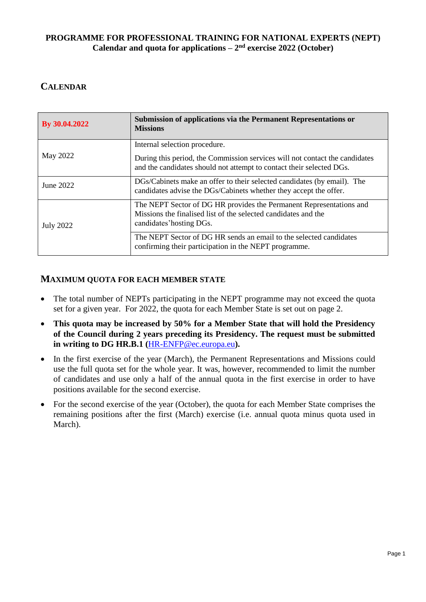## **PROGRAMME FOR PROFESSIONAL TRAINING FOR NATIONAL EXPERTS (NEPT) Calendar** and quota for applications  $-2^{nd}$  exercise 2022 (October)

## **CALENDAR**

| By 30.04.2022    | Submission of applications via the Permanent Representations or<br><b>Missions</b>                                                                                |  |
|------------------|-------------------------------------------------------------------------------------------------------------------------------------------------------------------|--|
| May 2022         | Internal selection procedure.                                                                                                                                     |  |
|                  | During this period, the Commission services will not contact the candidates<br>and the candidates should not attempt to contact their selected DGs.               |  |
| June 2022        | DGs/Cabinets make an offer to their selected candidates (by email). The<br>candidates advise the DGs/Cabinets whether they accept the offer.                      |  |
| <b>July 2022</b> | The NEPT Sector of DG HR provides the Permanent Representations and<br>Missions the finalised list of the selected candidates and the<br>candidates' hosting DGs. |  |
|                  | The NEPT Sector of DG HR sends an email to the selected candidates<br>confirming their participation in the NEPT programme.                                       |  |

## **MAXIMUM QUOTA FOR EACH MEMBER STATE**

- The total number of NEPTs participating in the NEPT programme may not exceed the quota set for a given year. For 2022, the quota for each Member State is set out on page 2.
- **This quota may be increased by 50% for a Member State that will hold the Presidency of the Council during 2 years preceding its Presidency. The request must be submitted in writing to DG HR.B.1 (**[HR-ENFP@ec.europa.eu](mailto:HR-ENFP@ec.europa.eu)**).**
- In the first exercise of the year (March), the Permanent Representations and Missions could use the full quota set for the whole year. It was, however, recommended to limit the number of candidates and use only a half of the annual quota in the first exercise in order to have positions available for the second exercise.
- For the second exercise of the year (October), the quota for each Member State comprises the remaining positions after the first (March) exercise (i.e. annual quota minus quota used in March).